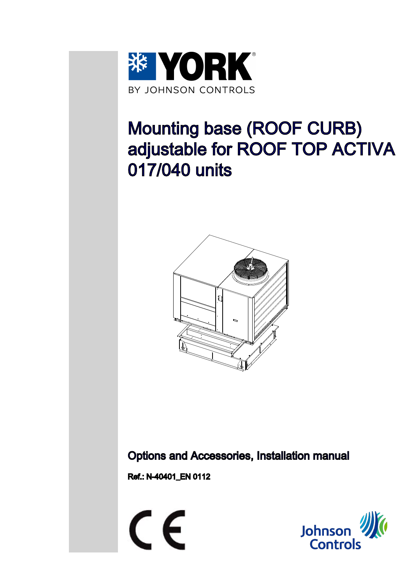

# Mounting base (ROOF CURB) adjustable for ROOF TOP ACTIVA 017/040 units



Options and Accessories, Installation manual

Ref.: N-40401\_EN 0112



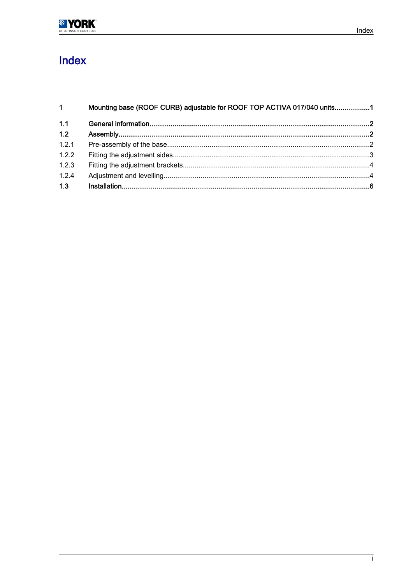

# Index

| 1 <sup>1</sup> | Mounting base (ROOF CURB) adjustable for ROOF TOP ACTIVA 017/040 units1 |  |  |  |  |  |  |
|----------------|-------------------------------------------------------------------------|--|--|--|--|--|--|
| 1.1            |                                                                         |  |  |  |  |  |  |
| 1.2            |                                                                         |  |  |  |  |  |  |
| 1.2.1          |                                                                         |  |  |  |  |  |  |
| 1.2.2          |                                                                         |  |  |  |  |  |  |
| 1.2.3          |                                                                         |  |  |  |  |  |  |
| 1.2.4          |                                                                         |  |  |  |  |  |  |
| 1.3            |                                                                         |  |  |  |  |  |  |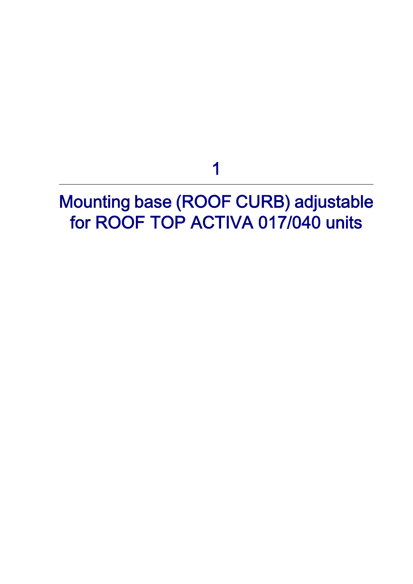1

# <span id="page-2-0"></span>Mounting base (ROOF CURB) adjustable for ROOF TOP ACTIVA 017/040 units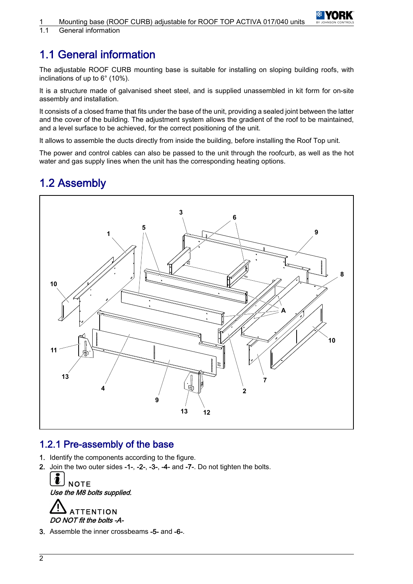

<span id="page-3-0"></span>1.1 General information

# 1.1 General information

The adjustable ROOF CURB mounting base is suitable for installing on sloping building roofs, with inclinations of up to 6° (10%).

It is a structure made of galvanised sheet steel, and is supplied unassembled in kit form for on-site assembly and installation.

It consists of a closed frame that fits under the base of the unit, providing a sealed joint between the latter and the cover of the building. The adjustment system allows the gradient of the roof to be maintained, and a level surface to be achieved, for the correct positioning of the unit.

It allows to assemble the ducts directly from inside the building, before installing the Roof Top unit.

The power and control cables can also be passed to the unit through the roofcurb, as well as the hot water and gas supply lines when the unit has the corresponding heating options.

## 1.2 Assembly



### 1.2.1 Pre-assembly of the base

- 1. Identify the components according to the figure.
- 2. Join the two outer sides -1-, -2-, -3-, -4- and -7-. Do not tighten the bolts.



DO NOT fit the bolts -A-

3. Assemble the inner crossbeams -5- and -6-.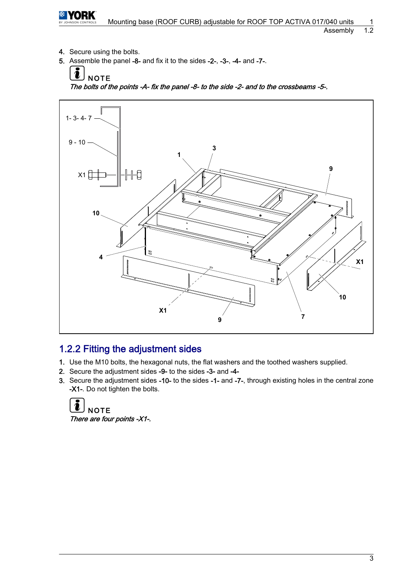<span id="page-4-0"></span>

- 4. Secure using the bolts.
- 5. Assemble the panel -8- and fix it to the sides -2-, -3-, -4- and -7-.





## 1.2.2 Fitting the adjustment sides

- 1. Use the M10 bolts, the hexagonal nuts, the flat washers and the toothed washers supplied.
- 2. Secure the adjustment sides -9- to the sides -3- and -4-
- 3. Secure the adjustment sides -10- to the sides -1- and -7-, through existing holes in the central zone -X1-. Do not tighten the bolts.

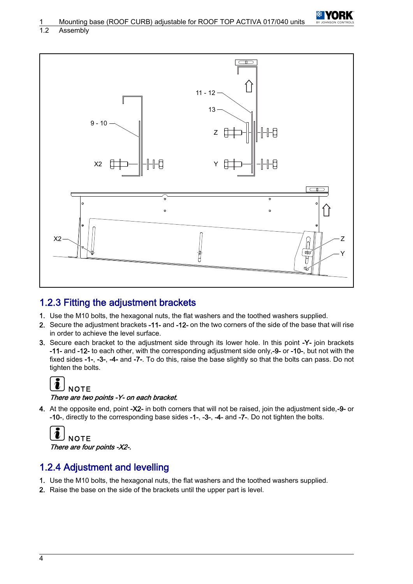

<span id="page-5-0"></span>1.2 Assembly



## 1.2.3 Fitting the adjustment brackets

- 1. Use the M10 bolts, the hexagonal nuts, the flat washers and the toothed washers supplied.
- 2. Secure the adjustment brackets -11- and -12- on the two corners of the side of the base that will rise in order to achieve the level surface.
- 3. Secure each bracket to the adjustment side through its lower hole. In this point -Y- join brackets -11- and -12- to each other, with the corresponding adjustment side only,-9- or -10-, but not with the fixed sides -1-, -3-, -4- and -7-. To do this, raise the base slightly so that the bolts can pass. Do not tighten the bolts.

#### $\overline{\mathbf{i}}$ **NOTE**

#### There are two points -Y- on each bracket.

4. At the opposite end, point -X2- in both corners that will not be raised, join the adjustment side,-9- or -10-, directly to the corresponding base sides -1-, -3-, -4- and -7-. Do not tighten the bolts.

```
NOTE
There are four points -X2-.
```
## 1.2.4 Adjustment and levelling

- 1. Use the M10 bolts, the hexagonal nuts, the flat washers and the toothed washers supplied.
- 2. Raise the base on the side of the brackets until the upper part is level.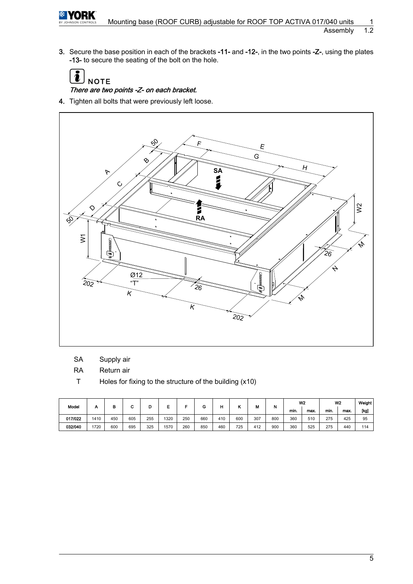

3. Secure the base position in each of the brackets -11- and -12-, in the two points -Z-, using the plates -13- to secure the seating of the bolt on the hole.

 $\ddot{\bm{v}}$ **NOTE** 

There are two points -Z- on each bracket.

4. Tighten all bolts that were previously left loose.



SA Supply air

RA Return air

T Holes for fixing to the structure of the building (x10)

| Model   |      | В   | ∼   | D   |      | -   | G   | н   |     | м   | N   | W <sub>2</sub> |      | W <sub>2</sub> |      | Weight |
|---------|------|-----|-----|-----|------|-----|-----|-----|-----|-----|-----|----------------|------|----------------|------|--------|
|         |      |     |     |     |      |     |     |     |     |     |     | min.           | max. | min.           | max. | [kg]   |
| 017/022 | 1410 | 450 | 605 | 255 | 1320 | 250 | 660 | 410 | 600 | 307 | 800 | 360            | 510  | 275            | 425  | 95     |
| 032/040 | 1720 | 600 | 695 | 325 | 1570 | 260 | 850 | 460 | 725 | 412 | 900 | 360            | 525  | 275            | 440  | 114    |